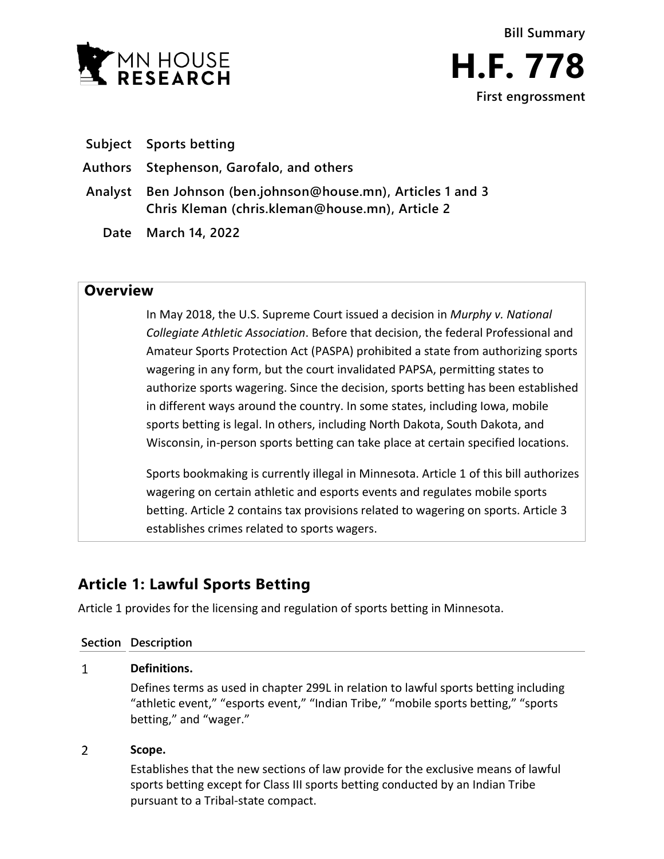

| Subject |  | <b>Sports betting</b> |
|---------|--|-----------------------|
|---------|--|-----------------------|

**Authors Stephenson, Garofalo, and others**

- **Analyst Ben Johnson (ben.johnson@house.mn), Articles 1 and 3 Chris Kleman (chris.kleman@house.mn), Article 2**
	- **Date March 14, 2022**

### **Overview**

In May 2018, the U.S. Supreme Court issued a decision in *Murphy v. National Collegiate Athletic Association*. Before that decision, the federal Professional and Amateur Sports Protection Act (PASPA) prohibited a state from authorizing sports wagering in any form, but the court invalidated PAPSA, permitting states to authorize sports wagering. Since the decision, sports betting has been established in different ways around the country. In some states, including Iowa, mobile sports betting is legal. In others, including North Dakota, South Dakota, and Wisconsin, in-person sports betting can take place at certain specified locations.

Sports bookmaking is currently illegal in Minnesota. Article 1 of this bill authorizes wagering on certain athletic and esports events and regulates mobile sports betting. Article 2 contains tax provisions related to wagering on sports. Article 3 establishes crimes related to sports wagers.

# **Article 1: Lawful Sports Betting**

Article 1 provides for the licensing and regulation of sports betting in Minnesota.

### **Section Description**

#### $\mathbf{1}$ **Definitions.**

Defines terms as used in chapter 299L in relation to lawful sports betting including "athletic event," "esports event," "Indian Tribe," "mobile sports betting," "sports betting," and "wager."

#### $\overline{2}$ **Scope.**

Establishes that the new sections of law provide for the exclusive means of lawful sports betting except for Class III sports betting conducted by an Indian Tribe pursuant to a Tribal-state compact.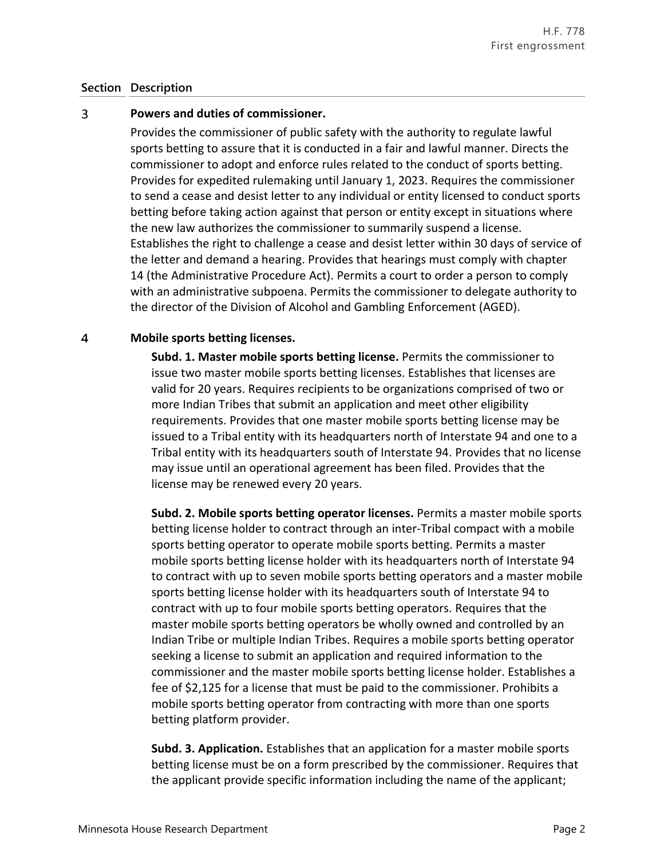#### 3 **Powers and duties of commissioner.**

Provides the commissioner of public safety with the authority to regulate lawful sports betting to assure that it is conducted in a fair and lawful manner. Directs the commissioner to adopt and enforce rules related to the conduct of sports betting. Provides for expedited rulemaking until January 1, 2023. Requires the commissioner to send a cease and desist letter to any individual or entity licensed to conduct sports betting before taking action against that person or entity except in situations where the new law authorizes the commissioner to summarily suspend a license. Establishes the right to challenge a cease and desist letter within 30 days of service of the letter and demand a hearing. Provides that hearings must comply with chapter 14 (the Administrative Procedure Act). Permits a court to order a person to comply with an administrative subpoena. Permits the commissioner to delegate authority to the director of the Division of Alcohol and Gambling Enforcement (AGED).

#### $\overline{4}$ **Mobile sports betting licenses.**

**Subd. 1. Master mobile sports betting license.** Permits the commissioner to issue two master mobile sports betting licenses. Establishes that licenses are valid for 20 years. Requires recipients to be organizations comprised of two or more Indian Tribes that submit an application and meet other eligibility requirements. Provides that one master mobile sports betting license may be issued to a Tribal entity with its headquarters north of Interstate 94 and one to a Tribal entity with its headquarters south of Interstate 94. Provides that no license may issue until an operational agreement has been filed. Provides that the license may be renewed every 20 years.

**Subd. 2. Mobile sports betting operator licenses.** Permits a master mobile sports betting license holder to contract through an inter-Tribal compact with a mobile sports betting operator to operate mobile sports betting. Permits a master mobile sports betting license holder with its headquarters north of Interstate 94 to contract with up to seven mobile sports betting operators and a master mobile sports betting license holder with its headquarters south of Interstate 94 to contract with up to four mobile sports betting operators. Requires that the master mobile sports betting operators be wholly owned and controlled by an Indian Tribe or multiple Indian Tribes. Requires a mobile sports betting operator seeking a license to submit an application and required information to the commissioner and the master mobile sports betting license holder. Establishes a fee of \$2,125 for a license that must be paid to the commissioner. Prohibits a mobile sports betting operator from contracting with more than one sports betting platform provider.

**Subd. 3. Application.** Establishes that an application for a master mobile sports betting license must be on a form prescribed by the commissioner. Requires that the applicant provide specific information including the name of the applicant;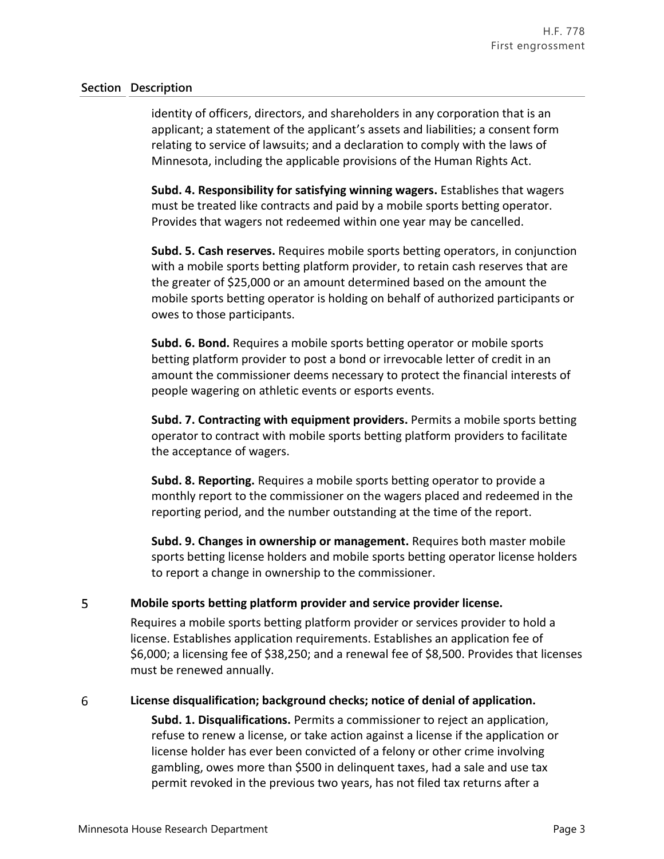identity of officers, directors, and shareholders in any corporation that is an applicant; a statement of the applicant's assets and liabilities; a consent form relating to service of lawsuits; and a declaration to comply with the laws of Minnesota, including the applicable provisions of the Human Rights Act.

**Subd. 4. Responsibility for satisfying winning wagers.** Establishes that wagers must be treated like contracts and paid by a mobile sports betting operator. Provides that wagers not redeemed within one year may be cancelled.

**Subd. 5. Cash reserves.** Requires mobile sports betting operators, in conjunction with a mobile sports betting platform provider, to retain cash reserves that are the greater of \$25,000 or an amount determined based on the amount the mobile sports betting operator is holding on behalf of authorized participants or owes to those participants.

**Subd. 6. Bond.** Requires a mobile sports betting operator or mobile sports betting platform provider to post a bond or irrevocable letter of credit in an amount the commissioner deems necessary to protect the financial interests of people wagering on athletic events or esports events.

**Subd. 7. Contracting with equipment providers.** Permits a mobile sports betting operator to contract with mobile sports betting platform providers to facilitate the acceptance of wagers.

**Subd. 8. Reporting.** Requires a mobile sports betting operator to provide a monthly report to the commissioner on the wagers placed and redeemed in the reporting period, and the number outstanding at the time of the report.

**Subd. 9. Changes in ownership or management.** Requires both master mobile sports betting license holders and mobile sports betting operator license holders to report a change in ownership to the commissioner.

#### 5 **Mobile sports betting platform provider and service provider license.**

Requires a mobile sports betting platform provider or services provider to hold a license. Establishes application requirements. Establishes an application fee of \$6,000; a licensing fee of \$38,250; and a renewal fee of \$8,500. Provides that licenses must be renewed annually.

#### 6 **License disqualification; background checks; notice of denial of application.**

**Subd. 1. Disqualifications.** Permits a commissioner to reject an application, refuse to renew a license, or take action against a license if the application or license holder has ever been convicted of a felony or other crime involving gambling, owes more than \$500 in delinquent taxes, had a sale and use tax permit revoked in the previous two years, has not filed tax returns after a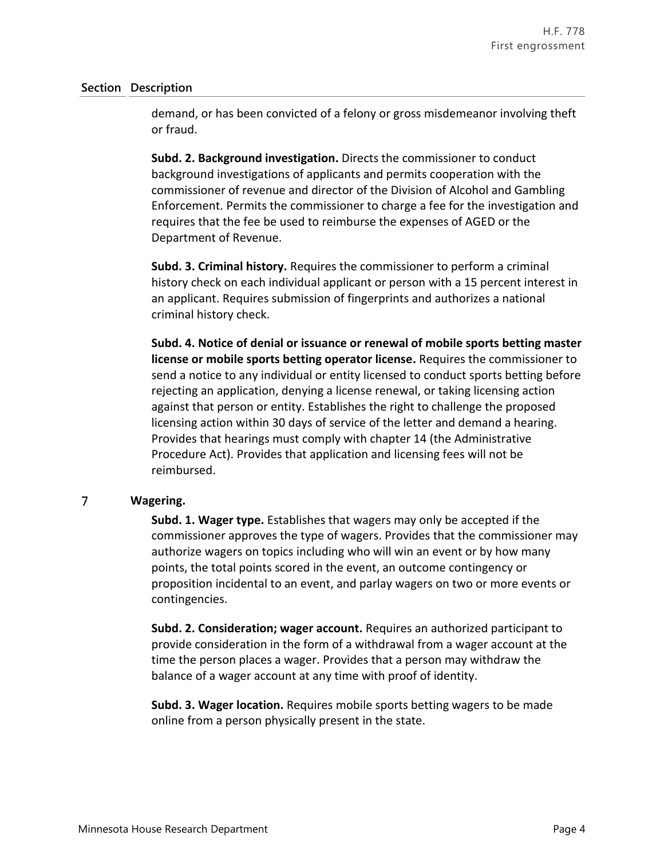demand, or has been convicted of a felony or gross misdemeanor involving theft or fraud.

**Subd. 2. Background investigation.** Directs the commissioner to conduct background investigations of applicants and permits cooperation with the commissioner of revenue and director of the Division of Alcohol and Gambling Enforcement. Permits the commissioner to charge a fee for the investigation and requires that the fee be used to reimburse the expenses of AGED or the Department of Revenue.

**Subd. 3. Criminal history.** Requires the commissioner to perform a criminal history check on each individual applicant or person with a 15 percent interest in an applicant. Requires submission of fingerprints and authorizes a national criminal history check.

**Subd. 4. Notice of denial or issuance or renewal of mobile sports betting master license or mobile sports betting operator license.** Requires the commissioner to send a notice to any individual or entity licensed to conduct sports betting before rejecting an application, denying a license renewal, or taking licensing action against that person or entity. Establishes the right to challenge the proposed licensing action within 30 days of service of the letter and demand a hearing. Provides that hearings must comply with chapter 14 (the Administrative Procedure Act). Provides that application and licensing fees will not be reimbursed.

#### $\overline{7}$ **Wagering.**

**Subd. 1. Wager type.** Establishes that wagers may only be accepted if the commissioner approves the type of wagers. Provides that the commissioner may authorize wagers on topics including who will win an event or by how many points, the total points scored in the event, an outcome contingency or proposition incidental to an event, and parlay wagers on two or more events or contingencies.

**Subd. 2. Consideration; wager account.** Requires an authorized participant to provide consideration in the form of a withdrawal from a wager account at the time the person places a wager. Provides that a person may withdraw the balance of a wager account at any time with proof of identity.

**Subd. 3. Wager location.** Requires mobile sports betting wagers to be made online from a person physically present in the state.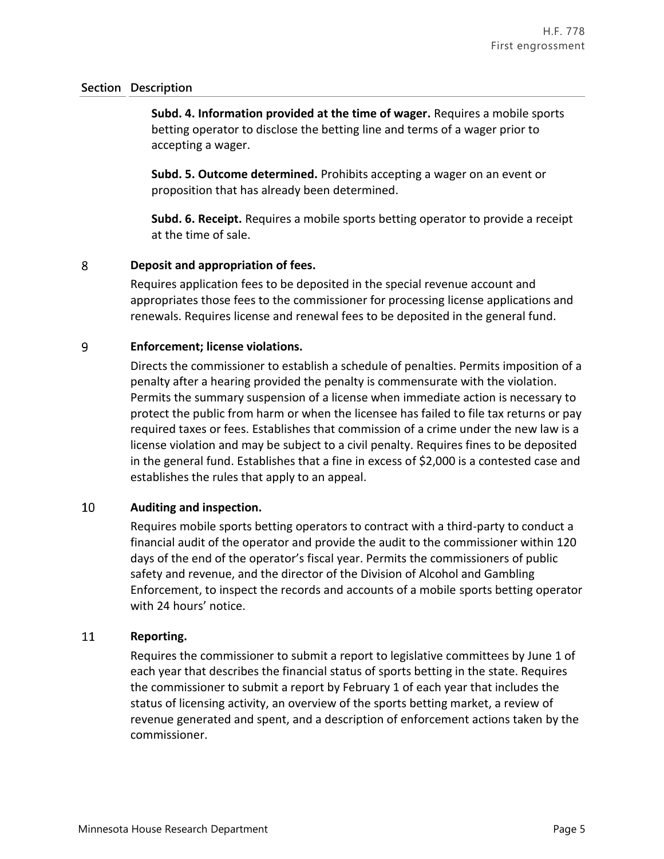**Subd. 4. Information provided at the time of wager.** Requires a mobile sports betting operator to disclose the betting line and terms of a wager prior to accepting a wager.

**Subd. 5. Outcome determined.** Prohibits accepting a wager on an event or proposition that has already been determined.

**Subd. 6. Receipt.** Requires a mobile sports betting operator to provide a receipt at the time of sale.

#### 8 **Deposit and appropriation of fees.**

Requires application fees to be deposited in the special revenue account and appropriates those fees to the commissioner for processing license applications and renewals. Requires license and renewal fees to be deposited in the general fund.

#### 9 **Enforcement; license violations.**

Directs the commissioner to establish a schedule of penalties. Permits imposition of a penalty after a hearing provided the penalty is commensurate with the violation. Permits the summary suspension of a license when immediate action is necessary to protect the public from harm or when the licensee has failed to file tax returns or pay required taxes or fees. Establishes that commission of a crime under the new law is a license violation and may be subject to a civil penalty. Requires fines to be deposited in the general fund. Establishes that a fine in excess of \$2,000 is a contested case and establishes the rules that apply to an appeal.

#### 10 **Auditing and inspection.**

Requires mobile sports betting operators to contract with a third-party to conduct a financial audit of the operator and provide the audit to the commissioner within 120 days of the end of the operator's fiscal year. Permits the commissioners of public safety and revenue, and the director of the Division of Alcohol and Gambling Enforcement, to inspect the records and accounts of a mobile sports betting operator with 24 hours' notice.

#### 11 **Reporting.**

Requires the commissioner to submit a report to legislative committees by June 1 of each year that describes the financial status of sports betting in the state. Requires the commissioner to submit a report by February 1 of each year that includes the status of licensing activity, an overview of the sports betting market, a review of revenue generated and spent, and a description of enforcement actions taken by the commissioner.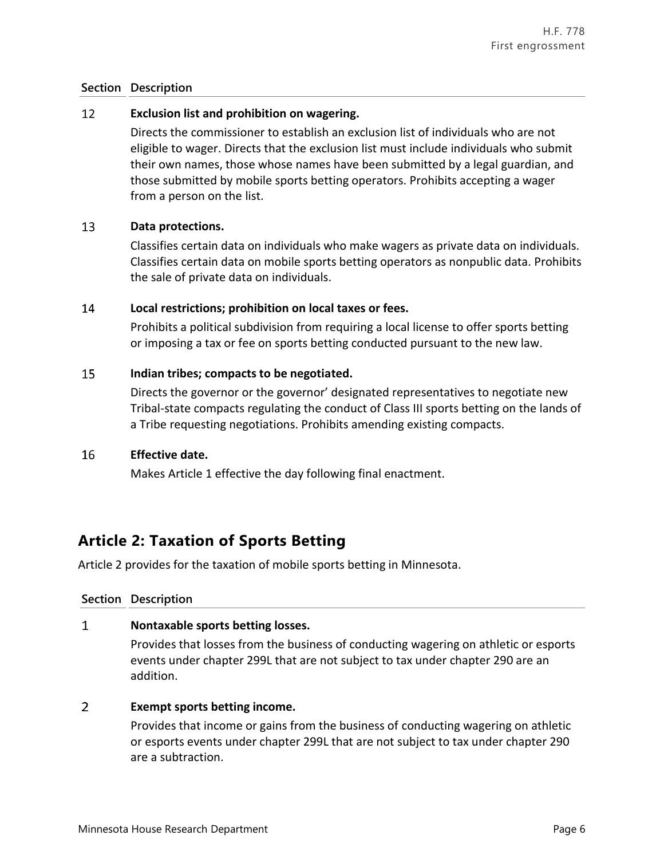#### 12 **Exclusion list and prohibition on wagering.**

Directs the commissioner to establish an exclusion list of individuals who are not eligible to wager. Directs that the exclusion list must include individuals who submit their own names, those whose names have been submitted by a legal guardian, and those submitted by mobile sports betting operators. Prohibits accepting a wager from a person on the list.

#### 13 **Data protections.**

Classifies certain data on individuals who make wagers as private data on individuals. Classifies certain data on mobile sports betting operators as nonpublic data. Prohibits the sale of private data on individuals.

#### 14 **Local restrictions; prohibition on local taxes or fees.**

Prohibits a political subdivision from requiring a local license to offer sports betting or imposing a tax or fee on sports betting conducted pursuant to the new law.

#### 15 **Indian tribes; compacts to be negotiated.**

Directs the governor or the governor' designated representatives to negotiate new Tribal-state compacts regulating the conduct of Class III sports betting on the lands of a Tribe requesting negotiations. Prohibits amending existing compacts.

#### 16 **Effective date.**

Makes Article 1 effective the day following final enactment.

## **Article 2: Taxation of Sports Betting**

Article 2 provides for the taxation of mobile sports betting in Minnesota.

### **Section Description**

#### $\mathbf{1}$ **Nontaxable sports betting losses.**

Provides that losses from the business of conducting wagering on athletic or esports events under chapter 299L that are not subject to tax under chapter 290 are an addition.

#### $\overline{2}$ **Exempt sports betting income.**

Provides that income or gains from the business of conducting wagering on athletic or esports events under chapter 299L that are not subject to tax under chapter 290 are a subtraction.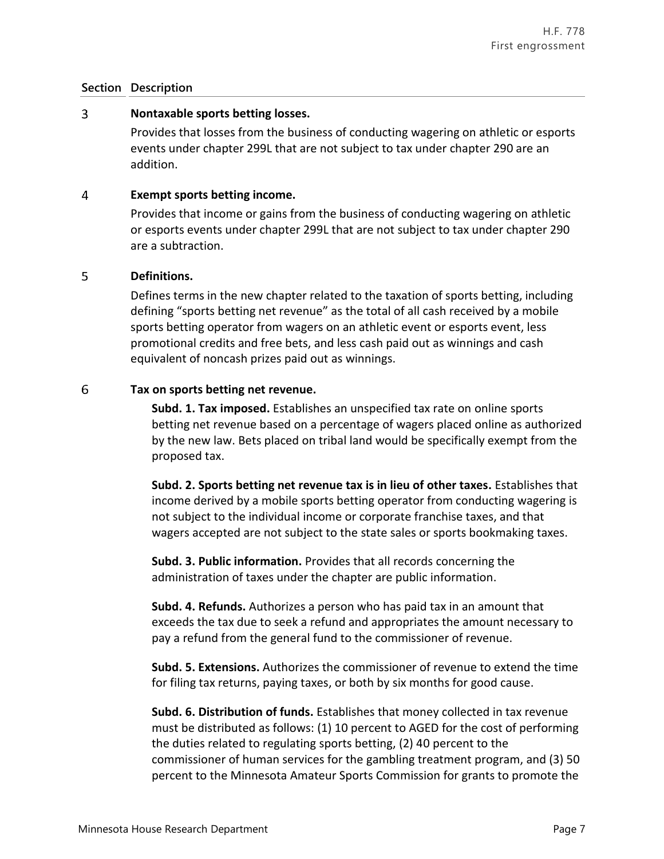#### $\overline{3}$ **Nontaxable sports betting losses.**

Provides that losses from the business of conducting wagering on athletic or esports events under chapter 299L that are not subject to tax under chapter 290 are an addition.

#### 4 **Exempt sports betting income.**

Provides that income or gains from the business of conducting wagering on athletic or esports events under chapter 299L that are not subject to tax under chapter 290 are a subtraction.

#### 5 **Definitions.**

Defines terms in the new chapter related to the taxation of sports betting, including defining "sports betting net revenue" as the total of all cash received by a mobile sports betting operator from wagers on an athletic event or esports event, less promotional credits and free bets, and less cash paid out as winnings and cash equivalent of noncash prizes paid out as winnings.

#### 6 **Tax on sports betting net revenue.**

**Subd. 1. Tax imposed.** Establishes an unspecified tax rate on online sports betting net revenue based on a percentage of wagers placed online as authorized by the new law. Bets placed on tribal land would be specifically exempt from the proposed tax.

**Subd. 2. Sports betting net revenue tax is in lieu of other taxes.** Establishes that income derived by a mobile sports betting operator from conducting wagering is not subject to the individual income or corporate franchise taxes, and that wagers accepted are not subject to the state sales or sports bookmaking taxes.

**Subd. 3. Public information.** Provides that all records concerning the administration of taxes under the chapter are public information.

**Subd. 4. Refunds.** Authorizes a person who has paid tax in an amount that exceeds the tax due to seek a refund and appropriates the amount necessary to pay a refund from the general fund to the commissioner of revenue.

**Subd. 5. Extensions.** Authorizes the commissioner of revenue to extend the time for filing tax returns, paying taxes, or both by six months for good cause.

**Subd. 6. Distribution of funds.** Establishes that money collected in tax revenue must be distributed as follows: (1) 10 percent to AGED for the cost of performing the duties related to regulating sports betting, (2) 40 percent to the commissioner of human services for the gambling treatment program, and (3) 50 percent to the Minnesota Amateur Sports Commission for grants to promote the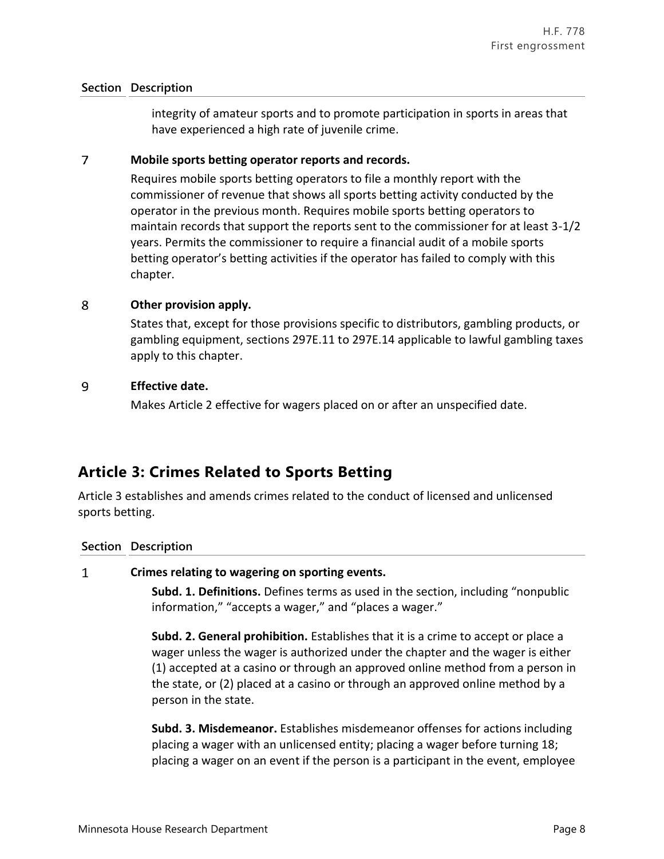integrity of amateur sports and to promote participation in sports in areas that have experienced a high rate of juvenile crime.

#### $\overline{7}$ **Mobile sports betting operator reports and records.**

Requires mobile sports betting operators to file a monthly report with the commissioner of revenue that shows all sports betting activity conducted by the operator in the previous month. Requires mobile sports betting operators to maintain records that support the reports sent to the commissioner for at least 3-1/2 years. Permits the commissioner to require a financial audit of a mobile sports betting operator's betting activities if the operator has failed to comply with this chapter.

#### 8 **Other provision apply.**

States that, except for those provisions specific to distributors, gambling products, or gambling equipment, sections 297E.11 to 297E.14 applicable to lawful gambling taxes apply to this chapter.

#### 9 **Effective date.**

Makes Article 2 effective for wagers placed on or after an unspecified date.

# **Article 3: Crimes Related to Sports Betting**

Article 3 establishes and amends crimes related to the conduct of licensed and unlicensed sports betting.

### **Section Description**

#### $\mathbf{1}$ **Crimes relating to wagering on sporting events.**

**Subd. 1. Definitions.** Defines terms as used in the section, including "nonpublic information," "accepts a wager," and "places a wager."

**Subd. 2. General prohibition.** Establishes that it is a crime to accept or place a wager unless the wager is authorized under the chapter and the wager is either (1) accepted at a casino or through an approved online method from a person in the state, or (2) placed at a casino or through an approved online method by a person in the state.

**Subd. 3. Misdemeanor.** Establishes misdemeanor offenses for actions including placing a wager with an unlicensed entity; placing a wager before turning 18; placing a wager on an event if the person is a participant in the event, employee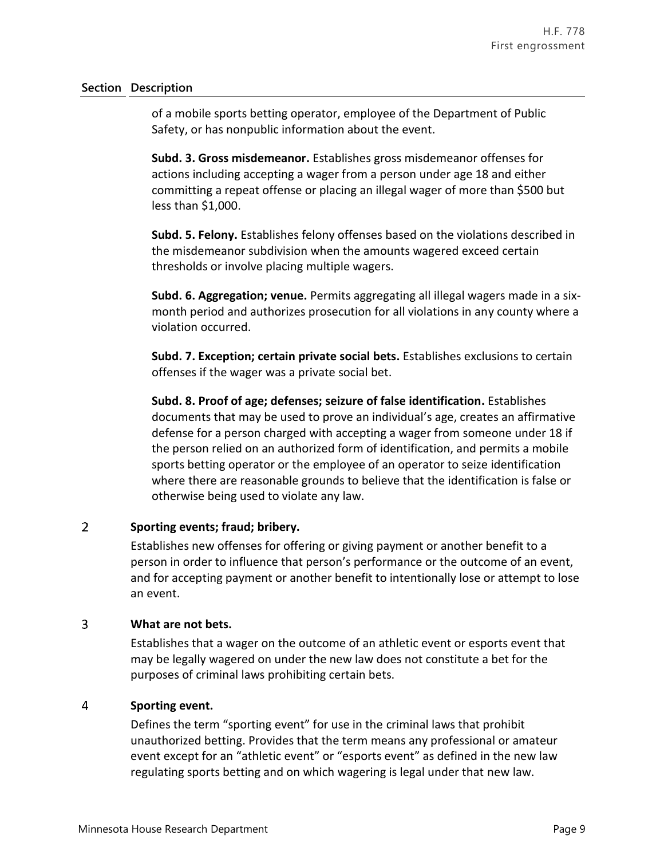of a mobile sports betting operator, employee of the Department of Public Safety, or has nonpublic information about the event.

**Subd. 3. Gross misdemeanor.** Establishes gross misdemeanor offenses for actions including accepting a wager from a person under age 18 and either committing a repeat offense or placing an illegal wager of more than \$500 but less than \$1,000.

**Subd. 5. Felony.** Establishes felony offenses based on the violations described in the misdemeanor subdivision when the amounts wagered exceed certain thresholds or involve placing multiple wagers.

**Subd. 6. Aggregation; venue.** Permits aggregating all illegal wagers made in a sixmonth period and authorizes prosecution for all violations in any county where a violation occurred.

**Subd. 7. Exception; certain private social bets.** Establishes exclusions to certain offenses if the wager was a private social bet.

**Subd. 8. Proof of age; defenses; seizure of false identification.** Establishes documents that may be used to prove an individual's age, creates an affirmative defense for a person charged with accepting a wager from someone under 18 if the person relied on an authorized form of identification, and permits a mobile sports betting operator or the employee of an operator to seize identification where there are reasonable grounds to believe that the identification is false or otherwise being used to violate any law.

#### $\overline{2}$ **Sporting events; fraud; bribery.**

Establishes new offenses for offering or giving payment or another benefit to a person in order to influence that person's performance or the outcome of an event, and for accepting payment or another benefit to intentionally lose or attempt to lose an event.

#### 3 **What are not bets.**

Establishes that a wager on the outcome of an athletic event or esports event that may be legally wagered on under the new law does not constitute a bet for the purposes of criminal laws prohibiting certain bets.

#### $\overline{4}$ **Sporting event.**

Defines the term "sporting event" for use in the criminal laws that prohibit unauthorized betting. Provides that the term means any professional or amateur event except for an "athletic event" or "esports event" as defined in the new law regulating sports betting and on which wagering is legal under that new law.